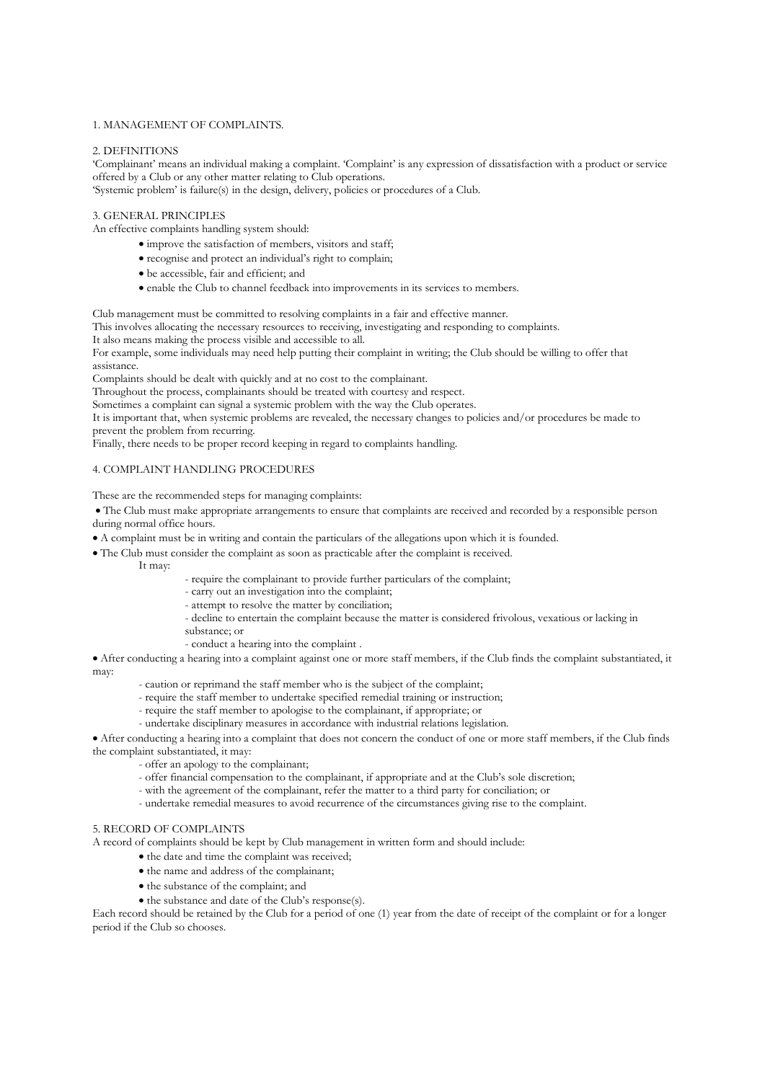#### 1. MANAGEMENT OF COMPLAINTS.

#### 2. DEFINITIONS

'Complainant' means an individual making a complaint. 'Complaint' is any expression of dissatisfaction with a product or service offered by a Club or any other matter relating to Club operations.

'Systemic problem' is failure(s) in the design, delivery, policies or procedures of a Club.

#### 3. GENERAL PRINCIPLES

An effective complaints handling system should:

- improve the satisfaction of members, visitors and staff;
- recognise and protect an individual's right to complain;
- be accessible, fair and efficient; and
- enable the Club to channel feedback into improvements in its services to members.

Club management must be committed to resolving complaints in a fair and effective manner.

This involves allocating the necessary resources to receiving, investigating and responding to complaints.

It also means making the process visible and accessible to all.

For example, some individuals may need help putting their complaint in writing; the Club should be willing to offer that assistance.

Complaints should be dealt with quickly and at no cost to the complainant.

Throughout the process, complainants should be treated with courtesy and respect.

Sometimes a complaint can signal a systemic problem with the way the Club operates.

It is important that, when systemic problems are revealed, the necessary changes to policies and/or procedures be made to prevent the problem from recurring.

Finally, there needs to be proper record keeping in regard to complaints handling.

### 4. COMPLAINT HANDLING PROCEDURES

These are the recommended steps for managing complaints:

• The Club must make appropriate arrangements to ensure that complaints are received and recorded by a responsible person during normal office hours.

- A complaint must be in writing and contain the particulars of the allegations upon which it is founded.
- The Club must consider the complaint as soon as practicable after the complaint is received.

It may:

- require the complainant to provide further particulars of the complaint;
- carry out an investigation into the complaint;
- attempt to resolve the matter by conciliation;
- decline to entertain the complaint because the matter is considered frivolous, vexatious or lacking in substance; or
- conduct a hearing into the complaint .

• After conducting a hearing into a complaint against one or more staff members, if the Club finds the complaint substantiated, it may:

- caution or reprimand the staff member who is the subject of the complaint;
- require the staff member to undertake specified remedial training or instruction;
- require the staff member to apologise to the complainant, if appropriate; or
- undertake disciplinary measures in accordance with industrial relations legislation.

• After conducting a hearing into a complaint that does not concern the conduct of one or more staff members, if the Club finds the complaint substantiated, it may:

- offer an apology to the complainant;

- offer financial compensation to the complainant, if appropriate and at the Club's sole discretion;
- with the agreement of the complainant, refer the matter to a third party for conciliation; or
- undertake remedial measures to avoid recurrence of the circumstances giving rise to the complaint.

#### 5. RECORD OF COMPLAINTS

A record of complaints should be kept by Club management in written form and should include:

- the date and time the complaint was received;
- the name and address of the complainant;
- the substance of the complaint; and
- the substance and date of the Club's response(s).

Each record should be retained by the Club for a period of one (1) year from the date of receipt of the complaint or for a longer period if the Club so chooses.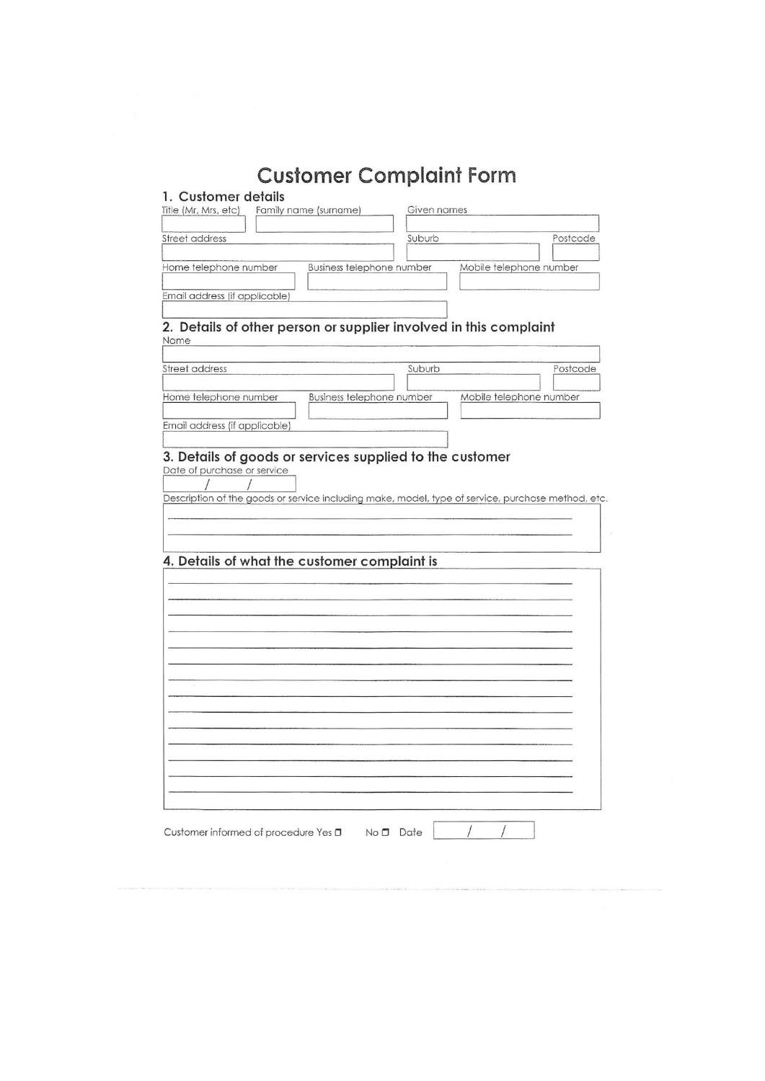# **Customer Complaint Form**

|                                                                                                   | Family name (surname)     | Given names |                         |          |
|---------------------------------------------------------------------------------------------------|---------------------------|-------------|-------------------------|----------|
| <b>Street address</b>                                                                             |                           | Suburb      |                         | Postcode |
|                                                                                                   |                           |             |                         |          |
| Home telephone number                                                                             | Business telephone number |             | Mobile telephone number |          |
|                                                                                                   |                           |             |                         |          |
| Email address (if applicable)                                                                     |                           |             |                         |          |
|                                                                                                   |                           |             |                         |          |
| 2. Details of other person or supplier involved in this complaint                                 |                           |             |                         |          |
| Name                                                                                              |                           |             |                         |          |
|                                                                                                   |                           |             |                         |          |
| Street address                                                                                    |                           | Suburb      |                         | Postcode |
| Home telephone number                                                                             | Business telephone number |             | Mobile telephone number |          |
|                                                                                                   |                           |             |                         |          |
| Email address (if applicable)                                                                     |                           |             |                         |          |
|                                                                                                   |                           |             |                         |          |
| 3. Details of goods or services supplied to the customer                                          |                           |             |                         |          |
| Date of purchase or service                                                                       |                           |             |                         |          |
|                                                                                                   |                           |             |                         |          |
| Description of the goods or service including make, model, type of service, purchase method, etc. |                           |             |                         |          |
|                                                                                                   |                           |             |                         |          |
|                                                                                                   |                           |             |                         |          |
|                                                                                                   |                           |             |                         |          |
|                                                                                                   |                           |             |                         |          |
|                                                                                                   |                           |             |                         |          |
|                                                                                                   |                           |             |                         |          |
|                                                                                                   |                           |             |                         |          |
|                                                                                                   |                           |             |                         |          |
|                                                                                                   |                           |             |                         |          |
|                                                                                                   |                           |             |                         |          |
|                                                                                                   |                           |             |                         |          |
|                                                                                                   |                           |             |                         |          |
|                                                                                                   |                           |             |                         |          |
|                                                                                                   |                           |             |                         |          |
|                                                                                                   |                           |             |                         |          |
|                                                                                                   |                           |             |                         |          |
|                                                                                                   |                           |             |                         |          |
|                                                                                                   |                           |             |                         |          |
|                                                                                                   |                           |             |                         |          |
|                                                                                                   |                           |             |                         |          |
| 4. Details of what the customer complaint is                                                      |                           |             |                         |          |
|                                                                                                   |                           |             |                         |          |
|                                                                                                   |                           |             |                         |          |
| Customer informed of procedure Yes □ No □ Date                                                    |                           |             |                         |          |